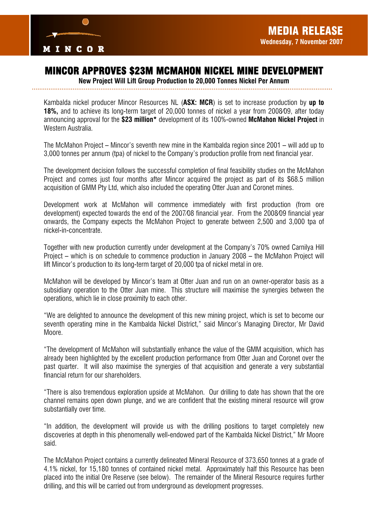

# MINCOR APPROVES \$23M MCMAHON NICKEL MINE DEVELOPMENT

*New Project Will Lift Group Production to 20,000 Tonnes Nickel Per Annum* 

Kambalda nickel producer Mincor Resources NL (*ASX: MCR*) is set to increase production by *up to 18%,* and to achieve its long-term target of 20,000 tonnes of nickel a year from 2008/09, after today announcing approval for the *\$23 million\** development of its 100%-owned *McMahon Nickel Project* in Western Australia.

The McMahon Project – Mincor's seventh new mine in the Kambalda region since 2001 – will add up to 3,000 tonnes per annum (tpa) of nickel to the Company's production profile from next financial year.

The development decision follows the successful completion of final feasibility studies on the McMahon Project and comes just four months after Mincor acquired the project as part of its \$68.5 million acquisition of GMM Pty Ltd, which also included the operating Otter Juan and Coronet mines.

Development work at McMahon will commence immediately with first production (from ore development) expected towards the end of the 2007/08 financial year. From the 2008/09 financial year onwards, the Company expects the McMahon Project to generate between 2,500 and 3,000 tpa of nickel-in-concentrate.

Together with new production currently under development at the Company's 70% owned Carnilya Hill Project – which is on schedule to commence production in January 2008 – the McMahon Project will lift Mincor's production to its long-term target of 20,000 tpa of nickel metal in ore.

McMahon will be developed by Mincor's team at Otter Juan and run on an owner-operator basis as a subsidiary operation to the Otter Juan mine. This structure will maximise the synergies between the operations, which lie in close proximity to each other.

"We are delighted to announce the development of this new mining project, which is set to become our seventh operating mine in the Kambalda Nickel District," said Mincor's Managing Director, Mr David Moore.

"The development of McMahon will substantially enhance the value of the GMM acquisition, which has already been highlighted by the excellent production performance from Otter Juan and Coronet over the past quarter. It will also maximise the synergies of that acquisition and generate a very substantial financial return for our shareholders.

"There is also tremendous exploration upside at McMahon. Our drilling to date has shown that the ore channel remains open down plunge, and we are confident that the existing mineral resource will grow substantially over time.

"In addition, the development will provide us with the drilling positions to target completely new discoveries at depth in this phenomenally well-endowed part of the Kambalda Nickel District," Mr Moore said.

The McMahon Project contains a currently delineated Mineral Resource of 373,650 tonnes at a grade of 4.1% nickel, for 15,180 tonnes of contained nickel metal. Approximately half this Resource has been placed into the initial Ore Reserve (see below). The remainder of the Mineral Resource requires further drilling, and this will be carried out from underground as development progresses.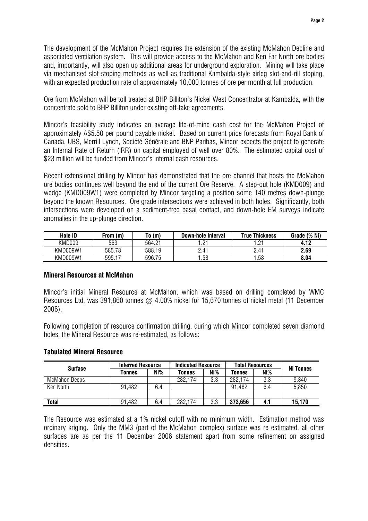The development of the McMahon Project requires the extension of the existing McMahon Decline and associated ventilation system. This will provide access to the McMahon and Ken Far North ore bodies and, importantly, will also open up additional areas for underground exploration. Mining will take place via mechanised slot stoping methods as well as traditional Kambalda-style airleg slot-and-rill stoping, with an expected production rate of approximately 10,000 tonnes of ore per month at full production.

Ore from McMahon will be toll treated at BHP Billiton's Nickel West Concentrator at Kambalda, with the concentrate sold to BHP Billiton under existing off-take agreements.

Mincor's feasibility study indicates an average life-of-mine cash cost for the McMahon Project of approximately A\$5.50 per pound payable nickel. Based on current price forecasts from Royal Bank of Canada, UBS, Merrill Lynch, Société Générale and BNP Paribas, Mincor expects the project to generate an Internal Rate of Return (IRR) on capital employed of well over 80%. The estimated capital cost of \$23 million will be funded from Mincor's internal cash resources.

Recent extensional drilling by Mincor has demonstrated that the ore channel that hosts the McMahon ore bodies continues well beyond the end of the current Ore Reserve. A step-out hole (KMD009) and wedge (KMD009W1) were completed by Mincor targeting a position some 140 metres down-plunge beyond the known Resources. Ore grade intersections were achieved in both holes. Significantly, both intersections were developed on a sediment-free basal contact, and down-hole EM surveys indicate anomalies in the up-plunge direction.

| <b>Hole ID</b> | From (m` | To (m) | Down-hole Interval | True Thickness    | $(%$ Ni)<br>Grade |
|----------------|----------|--------|--------------------|-------------------|-------------------|
| KMD009         | 563      | 564.21 | $\bigcap$<br>. .   | $^{\circ}$<br>$-$ |                   |
| KMD009W1       | 585.78   | 588.19 | 2.41               | 2.41              | 2.69              |
| KMD009W1       | 595.1    | 596.75 | .58                | .58               | 8.04              |

# *Mineral Resources at McMahon*

Mincor's initial Mineral Resource at McMahon, which was based on drilling completed by WMC Resources Ltd, was 391,860 tonnes @ 4.00% nickel for 15,670 tonnes of nickel metal (11 December 2006).

Following completion of resource confirmation drilling, during which Mincor completed seven diamond holes, the Mineral Resource was re-estimated, as follows:

# *Tabulated Mineral Resource*

| <b>Surface</b>       | <b>Inferred Resource</b> |     | <b>Indicated Resource</b> |     | <b>Total Resources</b> |     | <b>Ni Tonnes</b> |
|----------------------|--------------------------|-----|---------------------------|-----|------------------------|-----|------------------|
|                      | Tonnes                   | Ni% | Tonnes                    | Ni% | Tonnes                 | Ni% |                  |
| <b>McMahon Deeps</b> |                          |     | 282,174                   | 3.3 | 282,174                | 3.3 | 9,340            |
| Ken North            | 91,482                   | 6.4 |                           |     | 91,482                 | 6.4 | 5,850            |
|                      |                          |     |                           |     |                        |     |                  |
| Total                | 91,482                   | 6.4 | 282,174                   | 3.3 | 373,656                | 4.1 | 15,170           |

The Resource was estimated at a 1% nickel cutoff with no minimum width. Estimation method was ordinary kriging. Only the MM3 (part of the McMahon complex) surface was re estimated, all other surfaces are as per the 11 December 2006 statement apart from some refinement on assigned densities.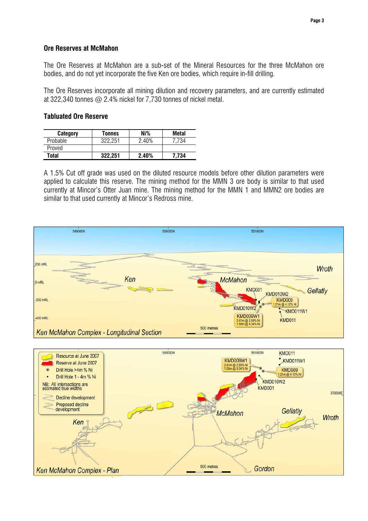# *Ore Reserves at McMahon*

The Ore Reserves at McMahon are a sub-set of the Mineral Resources for the three McMahon ore bodies, and do not yet incorporate the five Ken ore bodies, which require in-fill drilling.

The Ore Reserves incorporate all mining dilution and recovery parameters, and are currently estimated at 322,340 tonnes @ 2.4% nickel for 7,730 tonnes of nickel metal.

### *Tabluated Ore Reserve*

| Category | Tonnes  | Ni%   | <b>Metal</b> |
|----------|---------|-------|--------------|
| Probable | 322.251 | 2.40% | 734          |
| Proved   |         |       |              |
| Total    | 322,251 | 2.40% | 7.734        |

A 1.5% Cut off grade was used on the diluted resource models before other dilution parameters were applied to calculate this reserve. The mining method for the MMN 3 ore body is similar to that used currently at Mincor's Otter Juan mine. The mining method for the MMN 1 and MMN2 ore bodies are similar to that used currently at Mincor's Redross mine.